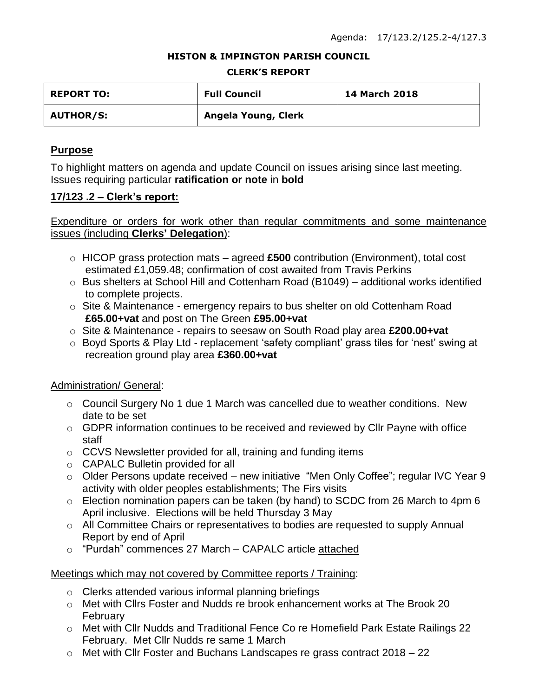#### **HISTON & IMPINGTON PARISH COUNCIL**

#### **CLERK'S REPORT**

| <b>REPORT TO:</b> | <b>Full Council</b> | 14 March 2018 |
|-------------------|---------------------|---------------|
| <b>AUTHOR/S:</b>  | Angela Young, Clerk |               |

### **Purpose**

To highlight matters on agenda and update Council on issues arising since last meeting. Issues requiring particular **ratification or note** in **bold**

### **17/123 .2 – Clerk's report:**

Expenditure or orders for work other than regular commitments and some maintenance issues (including **Clerks' Delegation**):

- o HICOP grass protection mats agreed **£500** contribution (Environment), total cost estimated £1,059.48; confirmation of cost awaited from Travis Perkins
- o Bus shelters at School Hill and Cottenham Road (B1049) additional works identified to complete projects.
- o Site & Maintenance emergency repairs to bus shelter on old Cottenham Road **£65.00+vat** and post on The Green **£95.00+vat**
- o Site & Maintenance repairs to seesaw on South Road play area **£200.00+vat**
- o Boyd Sports & Play Ltd replacement 'safety compliant' grass tiles for 'nest' swing at recreation ground play area **£360.00+vat**

## Administration/ General:

- o Council Surgery No 1 due 1 March was cancelled due to weather conditions. New date to be set
- $\circ$  GDPR information continues to be received and reviewed by CIIr Payne with office staff
- o CCVS Newsletter provided for all, training and funding items
- o CAPALC Bulletin provided for all
- o Older Persons update received new initiative "Men Only Coffee"; regular IVC Year 9 activity with older peoples establishments; The Firs visits
- o Election nomination papers can be taken (by hand) to SCDC from 26 March to 4pm 6 April inclusive. Elections will be held Thursday 3 May
- o All Committee Chairs or representatives to bodies are requested to supply Annual Report by end of April
- o "Purdah" commences 27 March CAPALC article attached

## Meetings which may not covered by Committee reports / Training:

- o Clerks attended various informal planning briefings
- o Met with Cllrs Foster and Nudds re brook enhancement works at The Brook 20 February
- o Met with Cllr Nudds and Traditional Fence Co re Homefield Park Estate Railings 22 February. Met Cllr Nudds re same 1 March
- o Met with Cllr Foster and Buchans Landscapes re grass contract 2018 22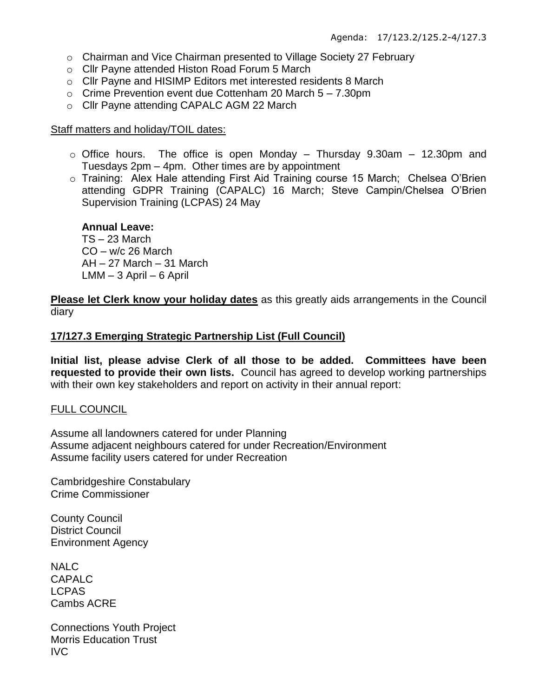- $\circ$  Chairman and Vice Chairman presented to Village Society 27 February
- o Cllr Payne attended Histon Road Forum 5 March
- o Cllr Payne and HISIMP Editors met interested residents 8 March
- $\circ$  Crime Prevention event due Cottenham 20 March  $5 7.30$ pm
- o Cllr Payne attending CAPALC AGM 22 March

### Staff matters and holiday/TOIL dates:

- $\circ$  Office hours. The office is open Monday Thursday 9.30am 12.30pm and Tuesdays 2pm – 4pm. Other times are by appointment
- o Training: Alex Hale attending First Aid Training course 15 March; Chelsea O'Brien attending GDPR Training (CAPALC) 16 March; Steve Campin/Chelsea O'Brien Supervision Training (LCPAS) 24 May

# **Annual Leave:**

TS – 23 March  $CO - w/c$  26 March  $AH - 27$  March – 31 March LMM – 3 April – 6 April

**Please let Clerk know your holiday dates** as this greatly aids arrangements in the Council diary

### **17/127.3 Emerging Strategic Partnership List (Full Council)**

**Initial list, please advise Clerk of all those to be added. Committees have been requested to provide their own lists.** Council has agreed to develop working partnerships with their own key stakeholders and report on activity in their annual report:

## FULL COUNCIL

Assume all landowners catered for under Planning Assume adjacent neighbours catered for under Recreation/Environment Assume facility users catered for under Recreation

Cambridgeshire Constabulary Crime Commissioner

County Council District Council Environment Agency

NALC CAPALC LCPAS Cambs ACRE

Connections Youth Project Morris Education Trust IVC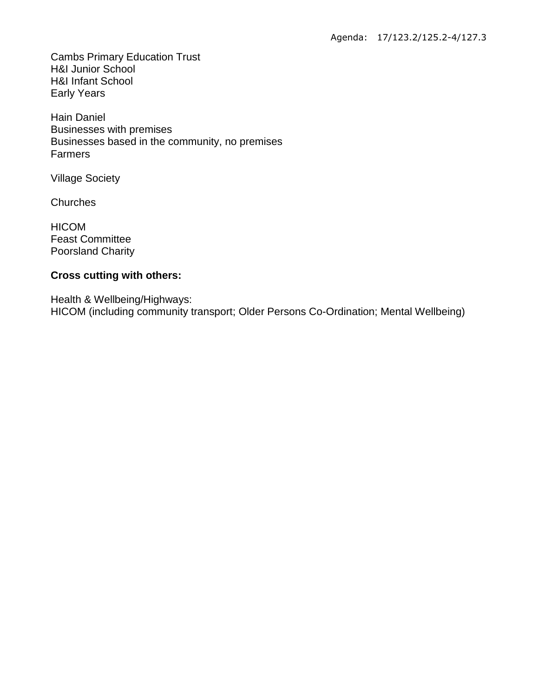Cambs Primary Education Trust H&I Junior School H&I Infant School Early Years

Hain Daniel Businesses with premises Businesses based in the community, no premises Farmers

Village Society

Churches

HICOM Feast Committee Poorsland Charity

## **Cross cutting with others:**

Health & Wellbeing/Highways: HICOM (including community transport; Older Persons Co-Ordination; Mental Wellbeing)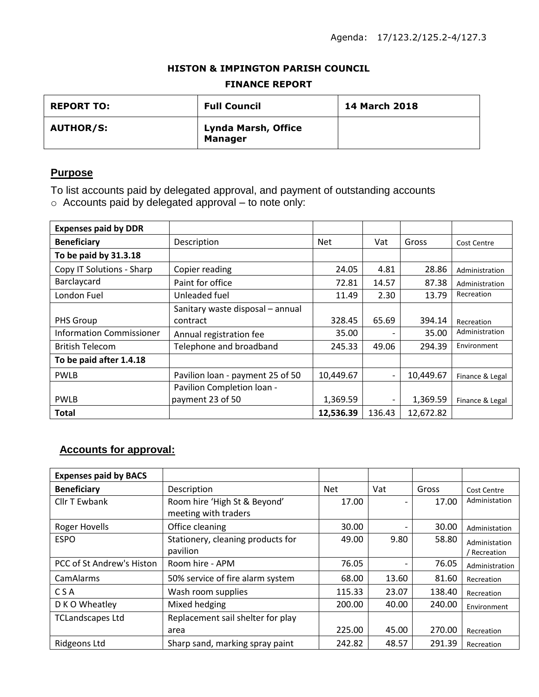#### **HISTON & IMPINGTON PARISH COUNCIL**

#### **FINANCE REPORT**

| <b>REPORT TO:</b> | <b>Full Council</b>                          | <b>14 March 2018</b> |
|-------------------|----------------------------------------------|----------------------|
| <b>AUTHOR/S:</b>  | <b>Lynda Marsh, Office</b><br><b>Manager</b> |                      |

## **Purpose**

To list accounts paid by delegated approval, and payment of outstanding accounts o Accounts paid by delegated approval – to note only:

| <b>Expenses paid by DDR</b>     |                                  |            |                          |           |                    |
|---------------------------------|----------------------------------|------------|--------------------------|-----------|--------------------|
| <b>Beneficiary</b>              | Description                      | <b>Net</b> | Vat                      | Gross     | <b>Cost Centre</b> |
| To be paid by 31.3.18           |                                  |            |                          |           |                    |
| Copy IT Solutions - Sharp       | Copier reading                   | 24.05      | 4.81                     | 28.86     | Administration     |
| Barclaycard                     | Paint for office                 | 72.81      | 14.57                    | 87.38     | Administration     |
| London Fuel                     | Unleaded fuel                    | 11.49      | 2.30                     | 13.79     | Recreation         |
|                                 | Sanitary waste disposal - annual |            |                          |           |                    |
| <b>PHS Group</b>                | contract                         | 328.45     | 65.69                    | 394.14    | Recreation         |
| <b>Information Commissioner</b> | Annual registration fee          | 35.00      | $\overline{\phantom{a}}$ | 35.00     | Administration     |
| <b>British Telecom</b>          | Telephone and broadband          | 245.33     | 49.06                    | 294.39    | Environment        |
| To be paid after 1.4.18         |                                  |            |                          |           |                    |
| <b>PWLB</b>                     | Pavilion loan - payment 25 of 50 | 10,449.67  | $\overline{\phantom{a}}$ | 10,449.67 | Finance & Legal    |
|                                 | Pavilion Completion loan -       |            |                          |           |                    |
| <b>PWLB</b>                     | payment 23 of 50                 | 1,369.59   |                          | 1,369.59  | Finance & Legal    |
| <b>Total</b>                    |                                  | 12,536.39  | 136.43                   | 12,672.82 |                    |

# **Accounts for approval:**

| <b>Expenses paid by BACS</b> |                                                      |            |       |        |                               |
|------------------------------|------------------------------------------------------|------------|-------|--------|-------------------------------|
| <b>Beneficiary</b>           | Description                                          | <b>Net</b> | Vat   | Gross  | <b>Cost Centre</b>            |
| Cllr T Ewbank                | Room hire 'High St & Beyond'<br>meeting with traders | 17.00      |       | 17.00  | Administation                 |
| <b>Roger Hovells</b>         | Office cleaning                                      | 30.00      |       | 30.00  | Administation                 |
| <b>ESPO</b>                  | Stationery, cleaning products for<br>pavilion        | 49.00      | 9.80  | 58.80  | Administation<br>/ Recreation |
| PCC of St Andrew's Histon    | Room hire - APM                                      | 76.05      |       | 76.05  | Administration                |
| CamAlarms                    | 50% service of fire alarm system                     | 68.00      | 13.60 | 81.60  | Recreation                    |
| C S A                        | Wash room supplies                                   | 115.33     | 23.07 | 138.40 | Recreation                    |
| D K O Wheatley               | Mixed hedging                                        | 200.00     | 40.00 | 240.00 | Environment                   |
| <b>TCLandscapes Ltd</b>      | Replacement sail shelter for play                    |            |       |        |                               |
|                              | area                                                 | 225.00     | 45.00 | 270.00 | Recreation                    |
| <b>Ridgeons Ltd</b>          | Sharp sand, marking spray paint                      | 242.82     | 48.57 | 291.39 | Recreation                    |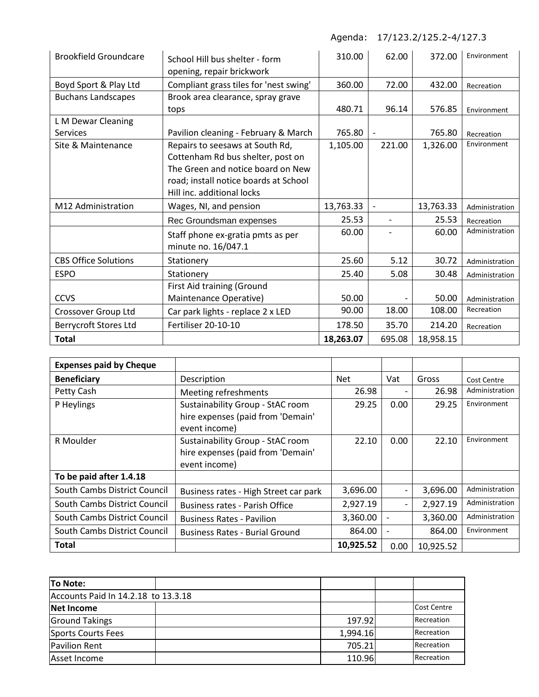Agenda: 17/123.2/125.2-4/127.3

| <b>Brookfield Groundcare</b> | School Hill bus shelter - form<br>opening, repair brickwork | 310.00    | 62.00                    | 372.00    | Environment    |
|------------------------------|-------------------------------------------------------------|-----------|--------------------------|-----------|----------------|
| Boyd Sport & Play Ltd        | Compliant grass tiles for 'nest swing'                      | 360.00    | 72.00                    | 432.00    | Recreation     |
| <b>Buchans Landscapes</b>    | Brook area clearance, spray grave                           |           |                          |           |                |
|                              | tops                                                        | 480.71    | 96.14                    | 576.85    | Environment    |
| L M Dewar Cleaning           |                                                             |           |                          |           |                |
| <b>Services</b>              | Pavilion cleaning - February & March                        | 765.80    |                          | 765.80    | Recreation     |
| Site & Maintenance           | Repairs to seesaws at South Rd,                             | 1,105.00  | 221.00                   | 1,326.00  | Environment    |
|                              | Cottenham Rd bus shelter, post on                           |           |                          |           |                |
|                              | The Green and notice board on New                           |           |                          |           |                |
|                              | road; install notice boards at School                       |           |                          |           |                |
|                              | Hill inc. additional locks                                  |           |                          |           |                |
| M12 Administration           | Wages, NI, and pension                                      | 13,763.33 |                          | 13,763.33 | Administration |
|                              | Rec Groundsman expenses                                     | 25.53     | $\overline{\phantom{a}}$ | 25.53     | Recreation     |
|                              | Staff phone ex-gratia pmts as per                           | 60.00     |                          | 60.00     | Administration |
|                              | minute no. 16/047.1                                         |           |                          |           |                |
| <b>CBS Office Solutions</b>  | Stationery                                                  | 25.60     | 5.12                     | 30.72     | Administration |
| <b>ESPO</b>                  | Stationery                                                  | 25.40     | 5.08                     | 30.48     | Administration |
|                              | First Aid training (Ground                                  |           |                          |           |                |
| <b>CCVS</b>                  | Maintenance Operative)                                      | 50.00     |                          | 50.00     | Administration |
| Crossover Group Ltd          | Car park lights - replace 2 x LED                           | 90.00     | 18.00                    | 108.00    | Recreation     |
| <b>Berrycroft Stores Ltd</b> | Fertiliser 20-10-10                                         | 178.50    | 35.70                    | 214.20    | Recreation     |
| <b>Total</b>                 |                                                             | 18,263.07 | 695.08                   | 18,958.15 |                |

| <b>Expenses paid by Cheque</b> |                                                                                        |           |                          |           |                    |
|--------------------------------|----------------------------------------------------------------------------------------|-----------|--------------------------|-----------|--------------------|
| <b>Beneficiary</b>             | Description                                                                            | Net       | Vat                      | Gross     | <b>Cost Centre</b> |
| Petty Cash                     | Meeting refreshments                                                                   | 26.98     |                          | 26.98     | Administration     |
| P Heylings                     | Sustainability Group - StAC room<br>hire expenses (paid from 'Demain'<br>event income) | 29.25     | 0.00                     | 29.25     | Environment        |
| R Moulder                      | Sustainability Group - StAC room<br>hire expenses (paid from 'Demain'<br>event income) | 22.10     | 0.00                     | 22.10     | Environment        |
| To be paid after 1.4.18        |                                                                                        |           |                          |           |                    |
| South Cambs District Council   | Business rates - High Street car park                                                  | 3,696.00  | $\overline{\phantom{a}}$ | 3,696.00  | Administration     |
| South Cambs District Council   | <b>Business rates - Parish Office</b>                                                  | 2,927.19  | $\overline{\phantom{a}}$ | 2,927.19  | Administration     |
| South Cambs District Council   | <b>Business Rates - Pavilion</b>                                                       | 3,360.00  |                          | 3,360.00  | Administration     |
| South Cambs District Council   | <b>Business Rates - Burial Ground</b>                                                  | 864.00    |                          | 864.00    | Environment        |
| <b>Total</b>                   |                                                                                        | 10,925.52 | 0.00                     | 10,925.52 |                    |

| To Note:                            |  |          |  |                    |
|-------------------------------------|--|----------|--|--------------------|
| Accounts Paid In 14.2.18 to 13.3.18 |  |          |  |                    |
| Net Income                          |  |          |  | <b>Cost Centre</b> |
| <b>Ground Takings</b>               |  | 197.92   |  | Recreation         |
| Sports Courts Fees                  |  | 1,994.16 |  | Recreation         |
| Pavilion Rent                       |  | 705.21   |  | Recreation         |
| Asset Income                        |  | 110.96   |  | Recreation         |